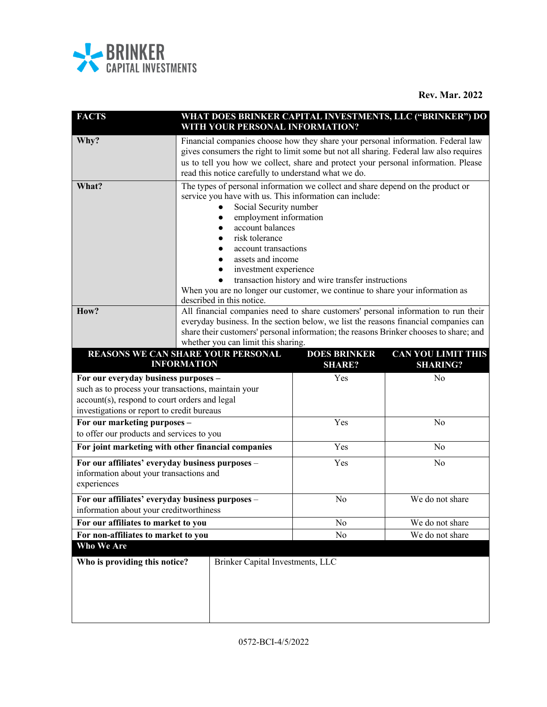

| <b>FACTS</b>                                                                                                                                                                               |                                                                                                                                                                                                                                                                                                                                                                                                                                                                                |                                  | WITH YOUR PERSONAL INFORMATION?      | WHAT DOES BRINKER CAPITAL INVESTMENTS, LLC ("BRINKER") DO |
|--------------------------------------------------------------------------------------------------------------------------------------------------------------------------------------------|--------------------------------------------------------------------------------------------------------------------------------------------------------------------------------------------------------------------------------------------------------------------------------------------------------------------------------------------------------------------------------------------------------------------------------------------------------------------------------|----------------------------------|--------------------------------------|-----------------------------------------------------------|
| Why?                                                                                                                                                                                       | Financial companies choose how they share your personal information. Federal law<br>gives consumers the right to limit some but not all sharing. Federal law also requires<br>us to tell you how we collect, share and protect your personal information. Please<br>read this notice carefully to understand what we do.                                                                                                                                                       |                                  |                                      |                                                           |
| What?                                                                                                                                                                                      | The types of personal information we collect and share depend on the product or<br>service you have with us. This information can include:<br>Social Security number<br>employment information<br>account balances<br>risk tolerance<br>account transactions<br>assets and income<br>investment experience<br>transaction history and wire transfer instructions<br>When you are no longer our customer, we continue to share your information as<br>described in this notice. |                                  |                                      |                                                           |
| How?                                                                                                                                                                                       | All financial companies need to share customers' personal information to run their<br>everyday business. In the section below, we list the reasons financial companies can<br>share their customers' personal information; the reasons Brinker chooses to share; and<br>whether you can limit this sharing.                                                                                                                                                                    |                                  |                                      |                                                           |
| <b>REASONS WE CAN SHARE YOUR PERSONAL</b>                                                                                                                                                  | <b>INFORMATION</b>                                                                                                                                                                                                                                                                                                                                                                                                                                                             |                                  | <b>DOES BRINKER</b><br><b>SHARE?</b> | <b>CAN YOU LIMIT THIS</b><br><b>SHARING?</b>              |
| For our everyday business purposes -<br>such as to process your transactions, maintain your<br>account(s), respond to court orders and legal<br>investigations or report to credit bureaus |                                                                                                                                                                                                                                                                                                                                                                                                                                                                                |                                  | Yes                                  | No                                                        |
| For our marketing purposes -<br>to offer our products and services to you                                                                                                                  |                                                                                                                                                                                                                                                                                                                                                                                                                                                                                |                                  | Yes                                  | No                                                        |
| For joint marketing with other financial companies                                                                                                                                         |                                                                                                                                                                                                                                                                                                                                                                                                                                                                                |                                  | Yes                                  | No                                                        |
| For our affiliates' everyday business purposes -<br>information about your transactions and<br>experiences                                                                                 |                                                                                                                                                                                                                                                                                                                                                                                                                                                                                |                                  | Yes                                  | No                                                        |
| For our affiliates' everyday business purposes -<br>information about your creditworthiness                                                                                                |                                                                                                                                                                                                                                                                                                                                                                                                                                                                                |                                  | No                                   | We do not share                                           |
| For our affiliates to market to you                                                                                                                                                        |                                                                                                                                                                                                                                                                                                                                                                                                                                                                                |                                  | No                                   | We do not share                                           |
| For non-affiliates to market to you                                                                                                                                                        |                                                                                                                                                                                                                                                                                                                                                                                                                                                                                |                                  | No                                   | We do not share                                           |
| Who We Are                                                                                                                                                                                 |                                                                                                                                                                                                                                                                                                                                                                                                                                                                                |                                  |                                      |                                                           |
| Who is providing this notice?                                                                                                                                                              |                                                                                                                                                                                                                                                                                                                                                                                                                                                                                | Brinker Capital Investments, LLC |                                      |                                                           |